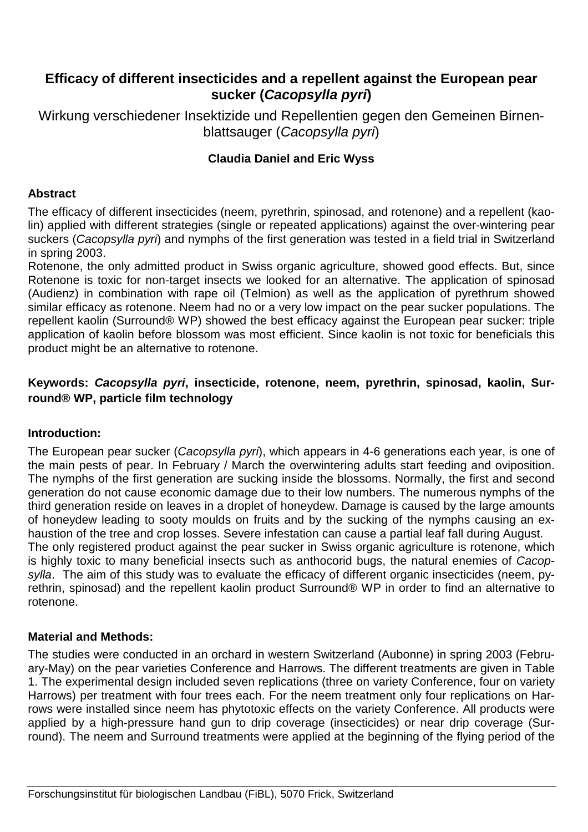# **Efficacy of different insecticides and a repellent against the European pear sucker (Cacopsylla pyri)**

Wirkung verschiedener Insektizide und Repellentien gegen den Gemeinen Birnenblattsauger (Cacopsylla pyri)

### **Claudia Daniel and Eric Wyss**

#### **Abstract**

The efficacy of different insecticides (neem, pyrethrin, spinosad, and rotenone) and a repellent (kaolin) applied with different strategies (single or repeated applications) against the over-wintering pear suckers (Cacopsylla pyri) and nymphs of the first generation was tested in a field trial in Switzerland in spring 2003.

Rotenone, the only admitted product in Swiss organic agriculture, showed good effects. But, since Rotenone is toxic for non-target insects we looked for an alternative. The application of spinosad (Audienz) in combination with rape oil (Telmion) as well as the application of pyrethrum showed similar efficacy as rotenone. Neem had no or a very low impact on the pear sucker populations. The repellent kaolin (Surround® WP) showed the best efficacy against the European pear sucker: triple application of kaolin before blossom was most efficient. Since kaolin is not toxic for beneficials this product might be an alternative to rotenone.

### **Keywords: Cacopsylla pyri, insecticide, rotenone, neem, pyrethrin, spinosad, kaolin, Surround® WP, particle film technology**

#### **Introduction:**

The European pear sucker (Cacopsylla pyri), which appears in 4-6 generations each year, is one of the main pests of pear. In February / March the overwintering adults start feeding and oviposition. The nymphs of the first generation are sucking inside the blossoms. Normally, the first and second generation do not cause economic damage due to their low numbers. The numerous nymphs of the third generation reside on leaves in a droplet of honeydew. Damage is caused by the large amounts of honeydew leading to sooty moulds on fruits and by the sucking of the nymphs causing an exhaustion of the tree and crop losses. Severe infestation can cause a partial leaf fall during August. The only registered product against the pear sucker in Swiss organic agriculture is rotenone, which is highly toxic to many beneficial insects such as anthocorid bugs, the natural enemies of Cacopsylla. The aim of this study was to evaluate the efficacy of different organic insecticides (neem, pyrethrin, spinosad) and the repellent kaolin product Surround® WP in order to find an alternative to rotenone.

#### **Material and Methods:**

The studies were conducted in an orchard in western Switzerland (Aubonne) in spring 2003 (February-May) on the pear varieties Conference and Harrows. The different treatments are given in Table 1. The experimental design included seven replications (three on variety Conference, four on variety Harrows) per treatment with four trees each. For the neem treatment only four replications on Harrows were installed since neem has phytotoxic effects on the variety Conference. All products were applied by a high-pressure hand gun to drip coverage (insecticides) or near drip coverage (Surround). The neem and Surround treatments were applied at the beginning of the flying period of the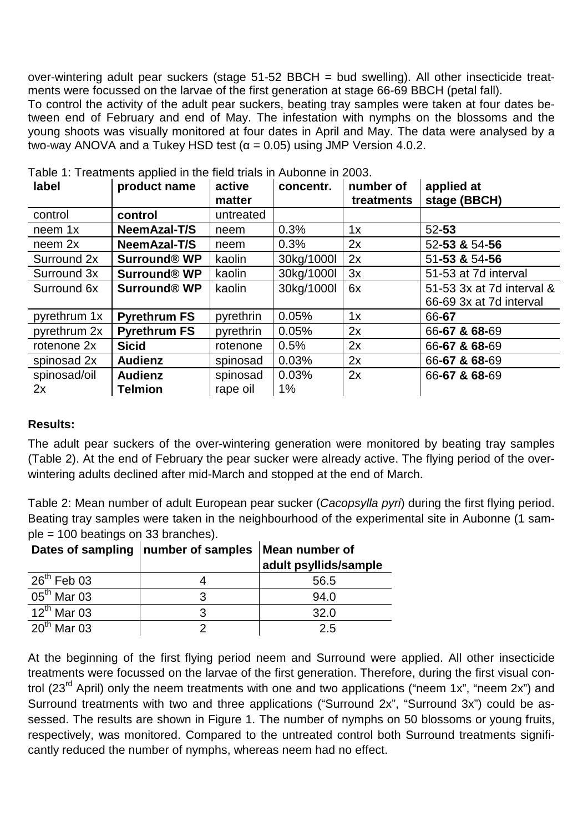over-wintering adult pear suckers (stage 51-52 BBCH = bud swelling). All other insecticide treatments were focussed on the larvae of the first generation at stage 66-69 BBCH (petal fall).

To control the activity of the adult pear suckers, beating tray samples were taken at four dates between end of February and end of May. The infestation with nymphs on the blossoms and the young shoots was visually monitored at four dates in April and May. The data were analysed by a two-way ANOVA and a Tukey HSD test (α = 0.05) using JMP Version 4.0.2.

| label        | product name        | active<br>matter | concentr.  | number of<br>treatments | applied at<br>stage (BBCH) |
|--------------|---------------------|------------------|------------|-------------------------|----------------------------|
| control      | control             | untreated        |            |                         |                            |
| neem 1x      | NeemAzal-T/S        | neem             | 0.3%       | 1x                      | $52 - 53$                  |
| neem 2x      | NeemAzal-T/S        | neem             | 0.3%       | 2x                      | 52-53 & 54-56              |
| Surround 2x  | <b>Surround® WP</b> | kaolin           | 30kg/1000l | 2x                      | 51-53 & 54-56              |
| Surround 3x  | <b>Surround® WP</b> | kaolin           | 30kg/1000l | 3x                      | 51-53 at 7d interval       |
| Surround 6x  | <b>Surround® WP</b> | kaolin           | 30kg/1000l | 6x                      | 51-53 3x at 7d interval &  |
|              |                     |                  |            |                         | 66-69 3x at 7d interval    |
| pyrethrum 1x | <b>Pyrethrum FS</b> | pyrethrin        | 0.05%      | 1x                      | 66-67                      |
| pyrethrum 2x | <b>Pyrethrum FS</b> | pyrethrin        | 0.05%      | 2x                      | 66-67 & 68-69              |
| rotenone 2x  | <b>Sicid</b>        | rotenone         | 0.5%       | 2x                      | 66-67 & 68-69              |
| spinosad 2x  | <b>Audienz</b>      | spinosad         | 0.03%      | 2x                      | 66-67 & 68-69              |
| spinosad/oil | <b>Audienz</b>      | spinosad         | 0.03%      | 2x                      | 66-67 & 68-69              |
| 2x           | <b>Telmion</b>      | rape oil         | $1\%$      |                         |                            |

Table 1: Treatments applied in the field trials in Aubonne in 2003.

## **Results:**

The adult pear suckers of the over-wintering generation were monitored by beating tray samples (Table 2). At the end of February the pear sucker were already active. The flying period of the overwintering adults declined after mid-March and stopped at the end of March.

Table 2: Mean number of adult European pear sucker (Cacopsylla pyri) during the first flying period. Beating tray samples were taken in the neighbourhood of the experimental site in Aubonne (1 sample = 100 beatings on 33 branches).

|                             | Dates of sampling   number of samples   Mean number of | adult psyllids/sample |
|-----------------------------|--------------------------------------------------------|-----------------------|
| $26^{\text{th}}$ Feb 03     |                                                        | 56.5                  |
| $\overline{05}^{th}$ Mar 03 | 3                                                      | 94.0                  |
| $12^{th}$ Mar 03            | 3                                                      | 32.0                  |
| $20^{\text{th}}$ Mar 03     |                                                        | 2.5                   |

At the beginning of the first flying period neem and Surround were applied. All other insecticide treatments were focussed on the larvae of the first generation. Therefore, during the first visual control (23<sup>rd</sup> April) only the neem treatments with one and two applications ("neem 1x", "neem 2x") and Surround treatments with two and three applications ("Surround 2x", "Surround 3x") could be assessed. The results are shown in Figure 1. The number of nymphs on 50 blossoms or young fruits, respectively, was monitored. Compared to the untreated control both Surround treatments significantly reduced the number of nymphs, whereas neem had no effect.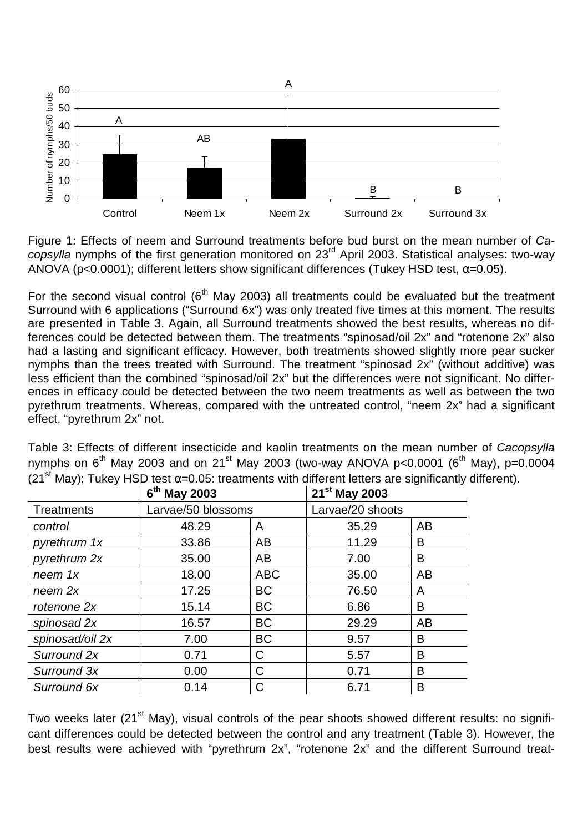

Figure 1: Effects of neem and Surround treatments before bud burst on the mean number of Ca- $\overline{\text{copy}}$  nymphs of the first generation monitored on 23<sup>rd</sup> April 2003. Statistical analyses: two-way ANOVA (p<0.0001); different letters show significant differences (Tukey HSD test,  $\alpha$ =0.05).

For the second visual control ( $6<sup>th</sup>$  May 2003) all treatments could be evaluated but the treatment Surround with 6 applications ("Surround 6x") was only treated five times at this moment. The results are presented in Table 3. Again, all Surround treatments showed the best results, whereas no differences could be detected between them. The treatments "spinosad/oil 2x" and "rotenone 2x" also had a lasting and significant efficacy. However, both treatments showed slightly more pear sucker nymphs than the trees treated with Surround. The treatment "spinosad 2x" (without additive) was less efficient than the combined "spinosad/oil 2x" but the differences were not significant. No differences in efficacy could be detected between the two neem treatments as well as between the two pyrethrum treatments. Whereas, compared with the untreated control, "neem 2x" had a significant effect, "pyrethrum 2x" not.

|                 | $6th$ May 2003     |            | 21 <sup>st</sup> May 2003 |    |
|-----------------|--------------------|------------|---------------------------|----|
| Treatments      | Larvae/50 blossoms |            | Larvae/20 shoots          |    |
| control         | 48.29              | A          | 35.29                     | AB |
| pyrethrum 1x    | 33.86              | AB         | 11.29                     | B  |
| pyrethrum 2x    | 35.00              | AB         | 7.00                      | B  |
| neem 1x         | 18.00              | <b>ABC</b> | 35.00                     | AB |
| neem 2x         | 17.25              | <b>BC</b>  | 76.50                     | A  |
| rotenone 2x     | 15.14              | <b>BC</b>  | 6.86                      | B  |
| spinosad 2x     | 16.57              | <b>BC</b>  | 29.29                     | AB |
| spinosad/oil 2x | 7.00               | <b>BC</b>  | 9.57                      | B  |
| Surround 2x     | 0.71               | С          | 5.57                      | B  |
| Surround 3x     | 0.00               | C          | 0.71                      | B  |
| Surround 6x     | 0.14               | С          | 6.71                      | B  |

Table 3: Effects of different insecticide and kaolin treatments on the mean number of Cacopsylla nymphs on  $6^{th}$  May 2003 and on 21<sup>st</sup> May 2003 (two-way ANOVA p<0.0001 ( $6^{th}$  May), p=0.0004 (21<sup>st</sup> May); Tukey HSD test  $\alpha$ =0.05: treatments with different letters are significantly different).

Two weeks later (21<sup>st</sup> May), visual controls of the pear shoots showed different results: no significant differences could be detected between the control and any treatment (Table 3). However, the best results were achieved with "pyrethrum 2x", "rotenone 2x" and the different Surround treat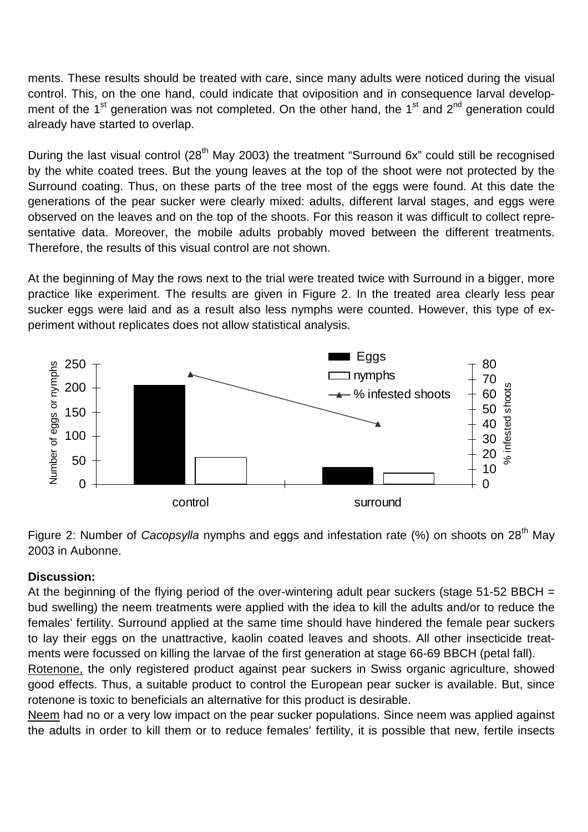ments. These results should be treated with care, since many adults were noticed during the visual control. This, on the one hand, could indicate that oviposition and in consequence larval development of the 1<sup>st</sup> generation was not completed. On the other hand, the 1<sup>st</sup> and 2<sup>nd</sup> generation could already have started to overlap.

During the last visual control (28<sup>th</sup> May 2003) the treatment "Surround 6x" could still be recognised by the white coated trees. But the young leaves at the top of the shoot were not protected by the Surround coating. Thus, on these parts of the tree most of the eggs were found. At this date the generations of the pear sucker were clearly mixed: adults, different larval stages, and eggs were observed on the leaves and on the top of the shoots. For this reason it was difficult to collect representative data. Moreover, the mobile adults probably moved between the different treatments. Therefore, the results of this visual control are not shown.

At the beginning of May the rows next to the trial were treated twice with Surround in a bigger, more practice like experiment. The results are given in Figure 2. In the treated area clearly less pear sucker eggs were laid and as a result also less nymphs were counted. However, this type of experiment without replicates does not allow statistical analysis.



Figure 2: Number of Cacopsylla nymphs and eggs and infestation rate (%) on shoots on 28<sup>th</sup> May 2003 in Aubonne.

### **Discussion:**

At the beginning of the flying period of the over-wintering adult pear suckers (stage 51-52 BBCH = bud swelling) the neem treatments were applied with the idea to kill the adults and/or to reduce the females' fertility. Surround applied at the same time should have hindered the female pear suckers to lay their eggs on the unattractive, kaolin coated leaves and shoots. All other insecticide treatments were focussed on killing the larvae of the first generation at stage 66-69 BBCH (petal fall).

Rotenone, the only registered product against pear suckers in Swiss organic agriculture, showed good effects. Thus, a suitable product to control the European pear sucker is available. But, since rotenone is toxic to beneficials an alternative for this product is desirable.

Neem had no or a very low impact on the pear sucker populations. Since neem was applied against the adults in order to kill them or to reduce females' fertility, it is possible that new, fertile insects